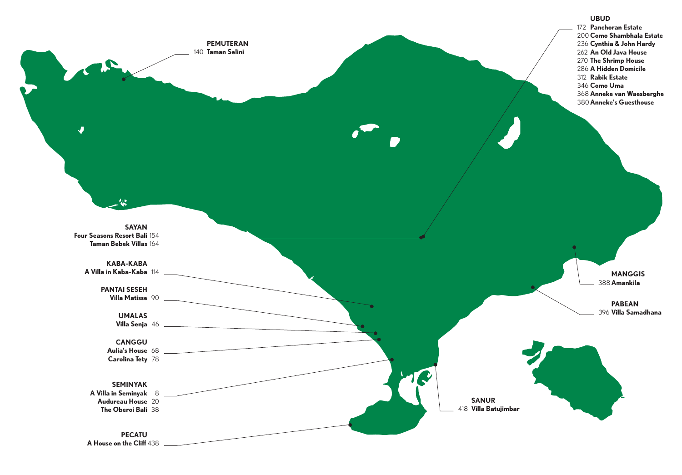